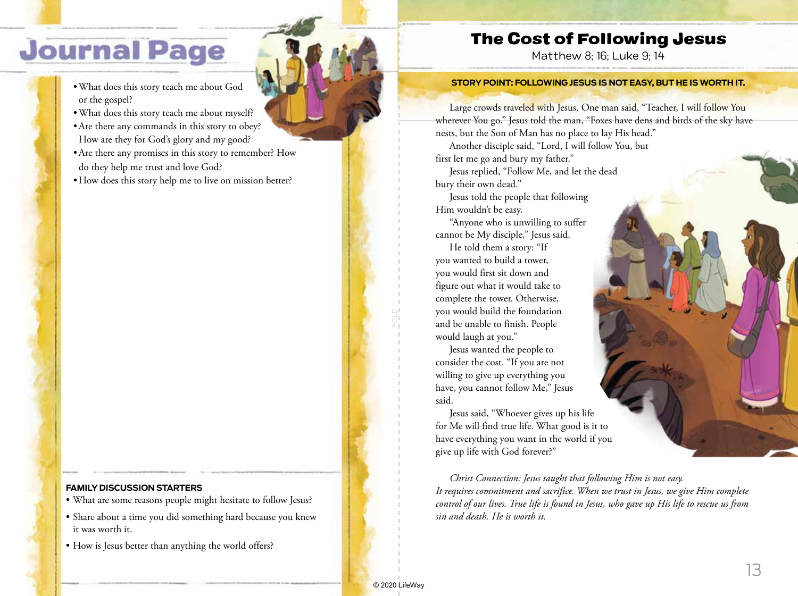# **Journal Page**

- •What does this story teach me about God or the gospel?
- •What does this story teach me about myself?
- •Are there any commands in this story to obey? How are they for God's glory and my good?
- •Are there any promises in this story to remember? How do they help me trust and love God?
- How does this story help me to live on mission better?

### **FAMILY DISCUSSION STARTERS**

- What are some reasons people might hesitate to follow Jesus?
- Share about a time you did something hard because you knew it was worth it.
- How is Jesus better than anything the world offers?

### The Cost of Following Jesus

Matthew 8; 16; Luke 9; 14

#### **STORY POINT: FOLLOWING JESUS IS NOT EASY, BUT HE IS WORTH IT.**

Large crowds traveled with Jesus. One man said, "Teacher, I will follow You wherever You go." Jesus told the man, "Foxes have dens and birds of the sky have nests, but the Son of Man has no place to lay His head."

Another disciple said, "Lord, I will follow You, but first let me go and bury my father." Jesus replied, "Follow Me, and let the dead

bury their own dead."

Jesus told the people that following Him wouldn't be easy.

"Anyone who is unwilling to suffer cannot be My disciple," Jesus said.

He told them a story: "If you wanted to build a tower, you would first sit down and figure out what it would take to complete the tower. Otherwise, you would build the foundation and be unable to finish. People would laugh at you."

Jesus wanted the people to consider the cost. "If you are not willing to give up everything you have, you cannot follow Me," Jesus said.

Jesus said, "Whoever gives up his life for Me will find true life. What good is it to have everything you want in the world if you give up life with God forever?"

*Christ Connection: Jesus taught that following Him is not easy. It requires commitment and sacrifice. When we trust in Jesus, we give Him complete control of our lives. True life is found in Jesus, who gave up His life to rescue us from sin and death. He is worth it.*